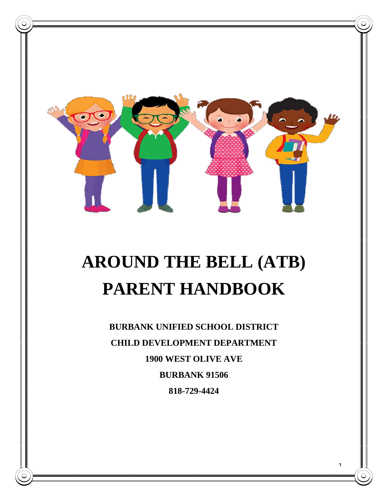

# **AROUND THE BELL (ATB) PARENT HANDBOOK**

**BURBANK UNIFIED SCHOOL DISTRICT CHILD DEVELOPMENT DEPARTMENT 1900 WEST OLIVE AVE BURBANK 91506 818-729-4424**

1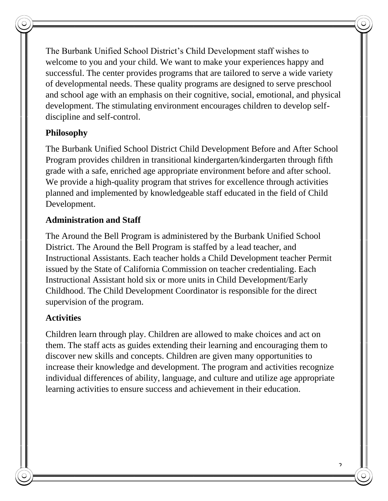The Burbank Unified School District's Child Development staff wishes to welcome to you and your child. We want to make your experiences happy and successful. The center provides programs that are tailored to serve a wide variety of developmental needs. These quality programs are designed to serve preschool and school age with an emphasis on their cognitive, social, emotional, and physical development. The stimulating environment encourages children to develop selfdiscipline and self-control.

## **Philosophy**

The Burbank Unified School District Child Development Before and After School Program provides children in transitional kindergarten/kindergarten through fifth grade with a safe, enriched age appropriate environment before and after school. We provide a high-quality program that strives for excellence through activities planned and implemented by knowledgeable staff educated in the field of Child Development.

#### **Administration and Staff**

The Around the Bell Program is administered by the Burbank Unified School District. The Around the Bell Program is staffed by a lead teacher, and Instructional Assistants. Each teacher holds a Child Development teacher Permit issued by the State of California Commission on teacher credentialing. Each Instructional Assistant hold six or more units in Child Development/Early Childhood. The Child Development Coordinator is responsible for the direct supervision of the program.

#### **Activities**

Children learn through play. Children are allowed to make choices and act on them. The staff acts as guides extending their learning and encouraging them to discover new skills and concepts. Children are given many opportunities to increase their knowledge and development. The program and activities recognize individual differences of ability, language, and culture and utilize age appropriate learning activities to ensure success and achievement in their education.

 $\mathcal{L}$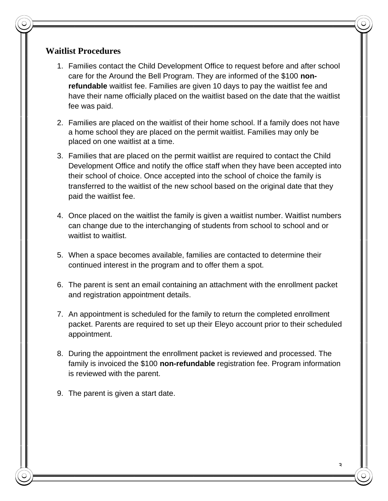#### **Waitlist Procedures**

- 1. Families contact the Child Development Office to request before and after school care for the Around the Bell Program. They are informed of the \$100 **nonrefundable** waitlist fee. Families are given 10 days to pay the waitlist fee and have their name officially placed on the waitlist based on the date that the waitlist fee was paid.
- 2. Families are placed on the waitlist of their home school. If a family does not have a home school they are placed on the permit waitlist. Families may only be placed on one waitlist at a time.
- 3. Families that are placed on the permit waitlist are required to contact the Child Development Office and notify the office staff when they have been accepted into their school of choice. Once accepted into the school of choice the family is transferred to the waitlist of the new school based on the original date that they paid the waitlist fee.
- 4. Once placed on the waitlist the family is given a waitlist number. Waitlist numbers can change due to the interchanging of students from school to school and or waitlist to waitlist.
- 5. When a space becomes available, families are contacted to determine their continued interest in the program and to offer them a spot.
- 6. The parent is sent an email containing an attachment with the enrollment packet and registration appointment details.
- 7. An appointment is scheduled for the family to return the completed enrollment packet. Parents are required to set up their Eleyo account prior to their scheduled appointment.
- 8. During the appointment the enrollment packet is reviewed and processed. The family is invoiced the \$100 **non-refundable** registration fee. Program information is reviewed with the parent.
- 9. The parent is given a start date.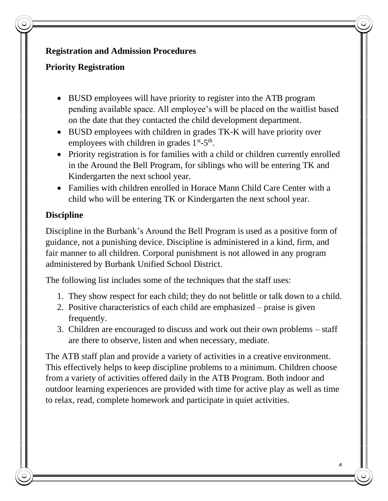## **Registration and Admission Procedures**

# **Priority Registration**

- BUSD employees will have priority to register into the ATB program pending available space. All employee's will be placed on the waitlist based on the date that they contacted the child development department.
- BUSD employees with children in grades TK-K will have priority over employees with children in grades  $1<sup>st</sup> - 5<sup>th</sup>$ .
- Priority registration is for families with a child or children currently enrolled in the Around the Bell Program, for siblings who will be entering TK and Kindergarten the next school year.
- Families with children enrolled in Horace Mann Child Care Center with a child who will be entering TK or Kindergarten the next school year.

# **Discipline**

Discipline in the Burbank's Around the Bell Program is used as a positive form of guidance, not a punishing device. Discipline is administered in a kind, firm, and fair manner to all children. Corporal punishment is not allowed in any program administered by Burbank Unified School District.

The following list includes some of the techniques that the staff uses:

- 1. They show respect for each child; they do not belittle or talk down to a child.
- 2. Positive characteristics of each child are emphasized praise is given frequently.
- 3. Children are encouraged to discuss and work out their own problems staff are there to observe, listen and when necessary, mediate.

The ATB staff plan and provide a variety of activities in a creative environment. This effectively helps to keep discipline problems to a minimum. Children choose from a variety of activities offered daily in the ATB Program. Both indoor and outdoor learning experiences are provided with time for active play as well as time to relax, read, complete homework and participate in quiet activities.

 $\lambda$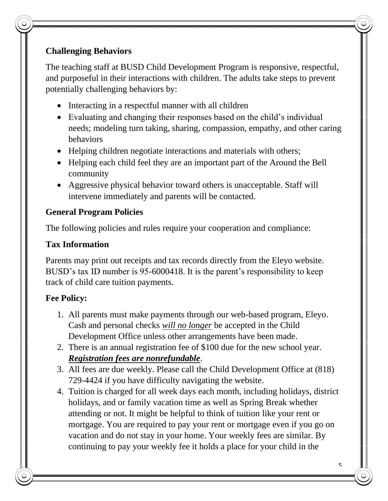# **Challenging Behaviors**

The teaching staff at BUSD Child Development Program is responsive, respectful, and purposeful in their interactions with children. The adults take steps to prevent potentially challenging behaviors by:

- Interacting in a respectful manner with all children
- Evaluating and changing their responses based on the child's individual needs; modeling turn taking, sharing, compassion, empathy, and other caring behaviors
- Helping children negotiate interactions and materials with others;
- Helping each child feel they are an important part of the Around the Bell community
- Aggressive physical behavior toward others is unacceptable. Staff will intervene immediately and parents will be contacted.

# **General Program Policies**

The following policies and rules require your cooperation and compliance:

# **Tax Information**

Parents may print out receipts and tax records directly from the Eleyo website. BUSD's tax ID number is 95-6000418. It is the parent's responsibility to keep track of child care tuition payments.

# **Fee Policy:**

- 1. All parents must make payments through our web-based program, Eleyo. Cash and personal checks *will no longer* be accepted in the Child Development Office unless other arrangements have been made.
- 2. There is an annual registration fee of \$100 due for the new school year. *Registration fees are nonrefundable*.
- 3. All fees are due weekly. Please call the Child Development Office at (818) 729-4424 if you have difficulty navigating the website.
- 4. Tuition is charged for all week days each month, including holidays, district holidays, and or family vacation time as well as Spring Break whether attending or not. It might be helpful to think of tuition like your rent or mortgage. You are required to pay your rent or mortgage even if you go on vacation and do not stay in your home. Your weekly fees are similar. By continuing to pay your weekly fee it holds a place for your child in the

5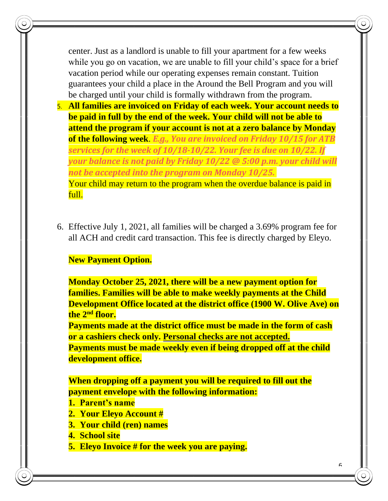center. Just as a landlord is unable to fill your apartment for a few weeks while you go on vacation, we are unable to fill your child's space for a brief vacation period while our operating expenses remain constant. Tuition guarantees your child a place in the Around the Bell Program and you will be charged until your child is formally withdrawn from the program.

- 5. **All families are invoiced on Friday of each week. Your account needs to be paid in full by the end of the week. Your child will not be able to attend the program if your account is not at a zero balance by Monday of the following week**. *E.g., You are invoiced on Friday 10/15 for ATB services for the week of 10/18-10/22. Your fee is due on 10/22. If your balance is not paid by Friday 10/22 @ 5:00 p.m. your child will not be accepted into the program on Monday 10/25.* Your child may return to the program when the overdue balance is paid in full.
- 6. Effective July 1, 2021, all families will be charged a 3.69% program fee for all ACH and credit card transaction. This fee is directly charged by Eleyo.

## **New Payment Option.**

**Monday October 25, 2021, there will be a new payment option for families. Families will be able to make weekly payments at the Child Development Office located at the district office (1900 W. Olive Ave) on the 2nd floor.** 

**Payments made at the district office must be made in the form of cash or a cashiers check only. Personal checks are not accepted.** 

**Payments must be made weekly even if being dropped off at the child development office.** 

**When dropping off a payment you will be required to fill out the payment envelope with the following information:**

- **1. Parent's name**
- **2. Your Eleyo Account #**
- **3. Your child (ren) names**

**4. School site**

**5. Eleyo Invoice # for the week you are paying.**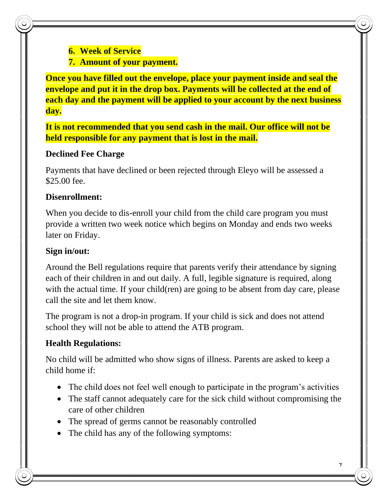## **6. Week of Service**

**7. Amount of your payment.** 

**Once you have filled out the envelope, place your payment inside and seal the envelope and put it in the drop box. Payments will be collected at the end of each day and the payment will be applied to your account by the next business day.** 

**It is not recommended that you send cash in the mail. Our office will not be held responsible for any payment that is lost in the mail.**

## **Declined Fee Charge**

Payments that have declined or been rejected through Eleyo will be assessed a \$25.00 fee.

# **Disenrollment:**

When you decide to dis-enroll your child from the child care program you must provide a written two week notice which begins on Monday and ends two weeks later on Friday.

# **Sign in/out:**

Around the Bell regulations require that parents verify their attendance by signing each of their children in and out daily. A full, legible signature is required, along with the actual time. If your child(ren) are going to be absent from day care, please call the site and let them know.

The program is not a drop-in program. If your child is sick and does not attend school they will not be able to attend the ATB program.

# **Health Regulations:**

No child will be admitted who show signs of illness. Parents are asked to keep a child home if:

- The child does not feel well enough to participate in the program's activities
- The staff cannot adequately care for the sick child without compromising the care of other children
- The spread of germs cannot be reasonably controlled
- The child has any of the following symptoms: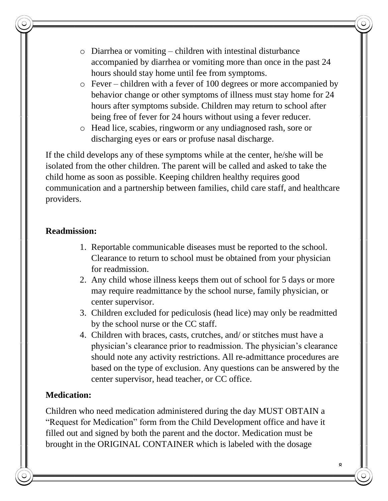- o Diarrhea or vomiting children with intestinal disturbance accompanied by diarrhea or vomiting more than once in the past 24 hours should stay home until fee from symptoms.
- o Fever children with a fever of 100 degrees or more accompanied by behavior change or other symptoms of illness must stay home for 24 hours after symptoms subside. Children may return to school after being free of fever for 24 hours without using a fever reducer.
- o Head lice, scabies, ringworm or any undiagnosed rash, sore or discharging eyes or ears or profuse nasal discharge.

If the child develops any of these symptoms while at the center, he/she will be isolated from the other children. The parent will be called and asked to take the child home as soon as possible. Keeping children healthy requires good communication and a partnership between families, child care staff, and healthcare providers.

## **Readmission:**

- 1. Reportable communicable diseases must be reported to the school. Clearance to return to school must be obtained from your physician for readmission.
- 2. Any child whose illness keeps them out of school for 5 days or more may require readmittance by the school nurse, family physician, or center supervisor.
- 3. Children excluded for pediculosis (head lice) may only be readmitted by the school nurse or the CC staff.
- 4. Children with braces, casts, crutches, and/ or stitches must have a physician's clearance prior to readmission. The physician's clearance should note any activity restrictions. All re-admittance procedures are based on the type of exclusion. Any questions can be answered by the center supervisor, head teacher, or CC office.

#### **Medication:**

Children who need medication administered during the day MUST OBTAIN a "Request for Medication" form from the Child Development office and have it filled out and signed by both the parent and the doctor. Medication must be brought in the ORIGINAL CONTAINER which is labeled with the dosage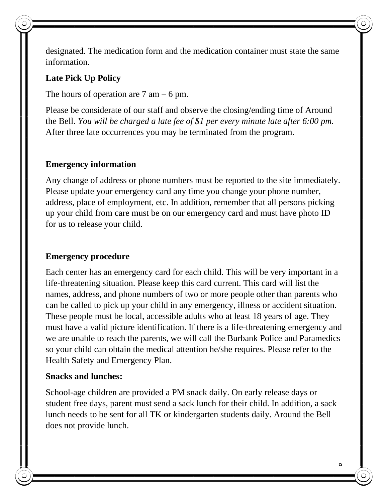designated. The medication form and the medication container must state the same information.

## **Late Pick Up Policy**

The hours of operation are  $7 \text{ am} - 6 \text{ pm}$ .

Please be considerate of our staff and observe the closing/ending time of Around the Bell. *You will be charged a late fee of \$1 per every minute late after 6:00 pm.* After three late occurrences you may be terminated from the program.

#### **Emergency information**

Any change of address or phone numbers must be reported to the site immediately. Please update your emergency card any time you change your phone number, address, place of employment, etc. In addition, remember that all persons picking up your child from care must be on our emergency card and must have photo ID for us to release your child.

#### **Emergency procedure**

Each center has an emergency card for each child. This will be very important in a life-threatening situation. Please keep this card current. This card will list the names, address, and phone numbers of two or more people other than parents who can be called to pick up your child in any emergency, illness or accident situation. These people must be local, accessible adults who at least 18 years of age. They must have a valid picture identification. If there is a life-threatening emergency and we are unable to reach the parents, we will call the Burbank Police and Paramedics so your child can obtain the medical attention he/she requires. Please refer to the Health Safety and Emergency Plan.

## **Snacks and lunches:**

School-age children are provided a PM snack daily. On early release days or student free days, parent must send a sack lunch for their child. In addition, a sack lunch needs to be sent for all TK or kindergarten students daily. Around the Bell does not provide lunch.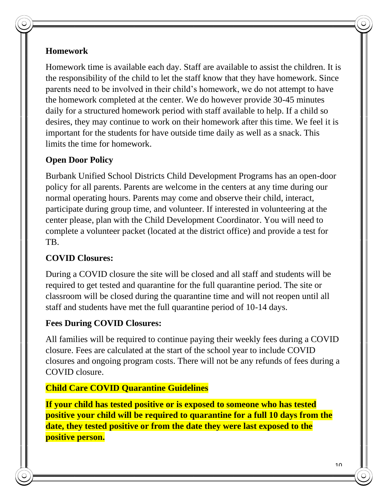## **Homework**

Homework time is available each day. Staff are available to assist the children. It is the responsibility of the child to let the staff know that they have homework. Since parents need to be involved in their child's homework, we do not attempt to have the homework completed at the center. We do however provide 30-45 minutes daily for a structured homework period with staff available to help. If a child so desires, they may continue to work on their homework after this time. We feel it is important for the students for have outside time daily as well as a snack. This limits the time for homework.

## **Open Door Policy**

Burbank Unified School Districts Child Development Programs has an open-door policy for all parents. Parents are welcome in the centers at any time during our normal operating hours. Parents may come and observe their child, interact, participate during group time, and volunteer. If interested in volunteering at the center please, plan with the Child Development Coordinator. You will need to complete a volunteer packet (located at the district office) and provide a test for TB.

## **COVID Closures:**

During a COVID closure the site will be closed and all staff and students will be required to get tested and quarantine for the full quarantine period. The site or classroom will be closed during the quarantine time and will not reopen until all staff and students have met the full quarantine period of 10-14 days.

## **Fees During COVID Closures:**

All families will be required to continue paying their weekly fees during a COVID closure. Fees are calculated at the start of the school year to include COVID closures and ongoing program costs. There will not be any refunds of fees during a COVID closure.

## **Child Care COVID Quarantine Guidelines**

**If your child has tested positive or is exposed to someone who has tested positive your child will be required to quarantine for a full 10 days from the date, they tested positive or from the date they were last exposed to the positive person.**